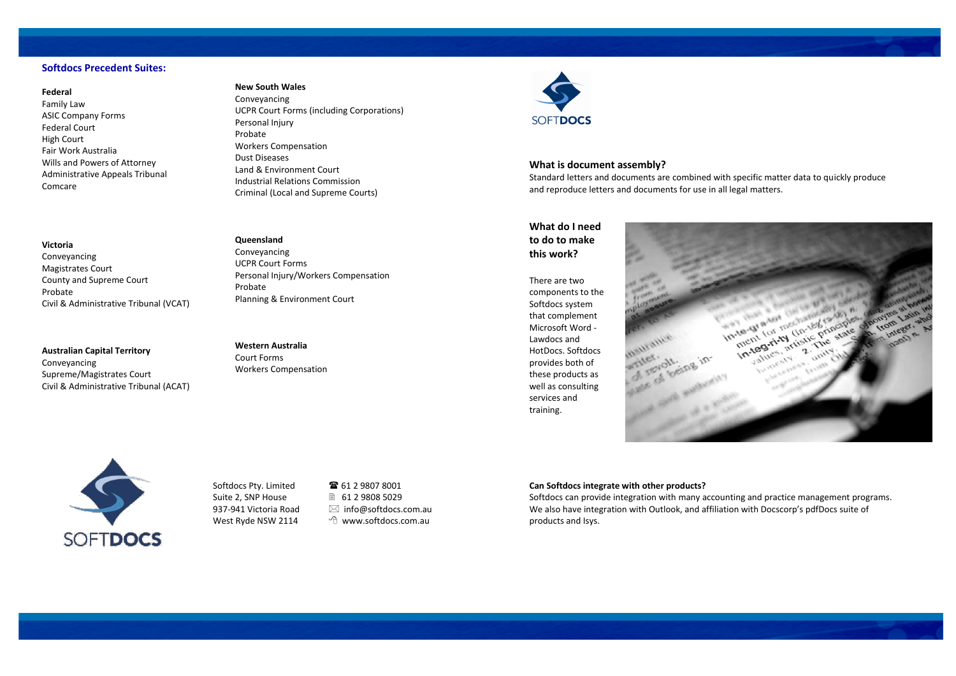#### **What is document assembly?**

Standard letters and documents are combined with specific matter data to quickly produce and reproduce letters and documents for use in all legal matters.

#### **Can Softdocs integrate with other products?**

Softdocs can provide integration with many accounting and practice management programs. We also have integration with Outlook, and affiliation with Docscorp's pdfDocs suite of products and Isys.

#### **What do I need to do to make this work?**

There are two components to the Softdocs system that complement Microsoft Word - Lawdocs and HotDocs. Softdocs provides both of these products as well as consulting services and training.





#### **Softdocs Precedent Suites:**

#### **Federal**

Softdocs Pty. Limited 61 2 9807 8001 Suite 2, SNP House <u>■</u> 61 2 9808 5029 937-941 Victoria Road info@softdocs.com.au West Ryde NSW 2114  $\oplus$  www.softdocs.com.au

Family Law ASIC Company Forms Federal Court High Court Fair Work Australia Wills and Powers of Attorney Administrative Appeals Tribunal Comcare

#### **Victoria**

Conveyancing Magistrates Court County and Supreme Court Probate Civil & Administrative Tribunal (VCAT)

#### **Australian Capital Territory**

Conveyancing Supreme/Magistrates Court Civil & Administrative Tribunal (ACAT)

#### **New South Wales**

Conveyancing UCPR Court Forms (including Corporations) Personal Injury Probate Workers Compensation Dust Diseases Land & Environment Court Industrial Relations Commission Criminal (Local and Supreme Courts)

#### **Queensland**

Conveyancing UCPR Court Forms Personal Injury/Workers Compensation Probate Planning & Environment Court

### **Western Australia**

Court Forms Workers Compensation